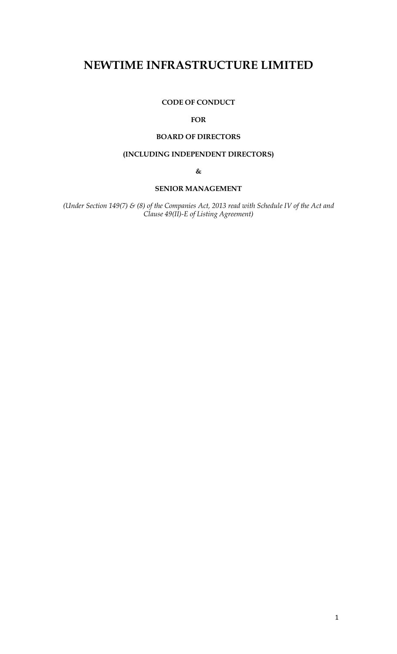# **NEWTIME INFRASTRUCTURE LIMITED**

**CODE OF CONDUCT** 

## **FOR**

# **BOARD OF DIRECTORS**

# **(INCLUDING INDEPENDENT DIRECTORS)**

**&** 

# **SENIOR MANAGEMENT**

*(Under Section 149(7) & (8) of the Companies Act, 2013 read with Schedule IV of the Act and Clause 49(II)-E of Listing Agreement)*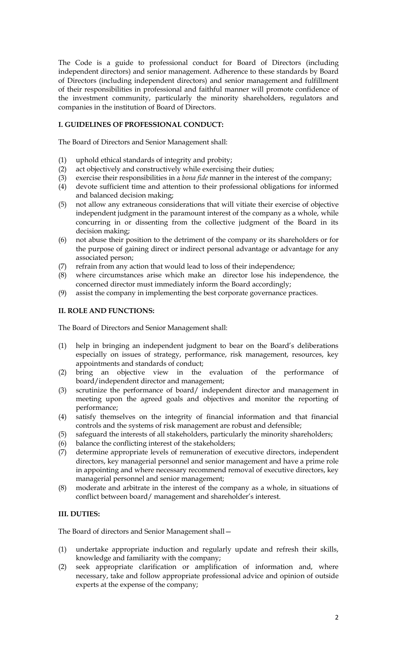The Code is a guide to professional conduct for Board of Directors (including independent directors) and senior management. Adherence to these standards by Board of Directors (including independent directors) and senior management and fulfillment of their responsibilities in professional and faithful manner will promote confidence of the investment community, particularly the minority shareholders, regulators and companies in the institution of Board of Directors.

## **I. GUIDELINES OF PROFESSIONAL CONDUCT:**

The Board of Directors and Senior Management shall:

- (1) uphold ethical standards of integrity and probity;
- (2) act objectively and constructively while exercising their duties;
- (3) exercise their responsibilities in a *bona fide* manner in the interest of the company;
- (4) devote sufficient time and attention to their professional obligations for informed and balanced decision making;
- (5) not allow any extraneous considerations that will vitiate their exercise of objective independent judgment in the paramount interest of the company as a whole, while concurring in or dissenting from the collective judgment of the Board in its decision making;
- (6) not abuse their position to the detriment of the company or its shareholders or for the purpose of gaining direct or indirect personal advantage or advantage for any associated person;
- (7) refrain from any action that would lead to loss of their independence;
- (8) where circumstances arise which make an director lose his independence, the concerned director must immediately inform the Board accordingly;
- (9) assist the company in implementing the best corporate governance practices.

## **II. ROLE AND FUNCTIONS:**

The Board of Directors and Senior Management shall:

- (1) help in bringing an independent judgment to bear on the Board's deliberations especially on issues of strategy, performance, risk management, resources, key appointments and standards of conduct;
- (2) bring an objective view in the evaluation of the performance of board/independent director and management;
- (3) scrutinize the performance of board/ independent director and management in meeting upon the agreed goals and objectives and monitor the reporting of performance;
- (4) satisfy themselves on the integrity of financial information and that financial controls and the systems of risk management are robust and defensible;
- (5) safeguard the interests of all stakeholders, particularly the minority shareholders;
- (6) balance the conflicting interest of the stakeholders;
- (7) determine appropriate levels of remuneration of executive directors, independent directors, key managerial personnel and senior management and have a prime role in appointing and where necessary recommend removal of executive directors, key managerial personnel and senior management;
- (8) moderate and arbitrate in the interest of the company as a whole, in situations of conflict between board/ management and shareholder's interest.

# **III. DUTIES:**

The Board of directors and Senior Management shall—

- (1) undertake appropriate induction and regularly update and refresh their skills, knowledge and familiarity with the company;
- (2) seek appropriate clarification or amplification of information and, where necessary, take and follow appropriate professional advice and opinion of outside experts at the expense of the company;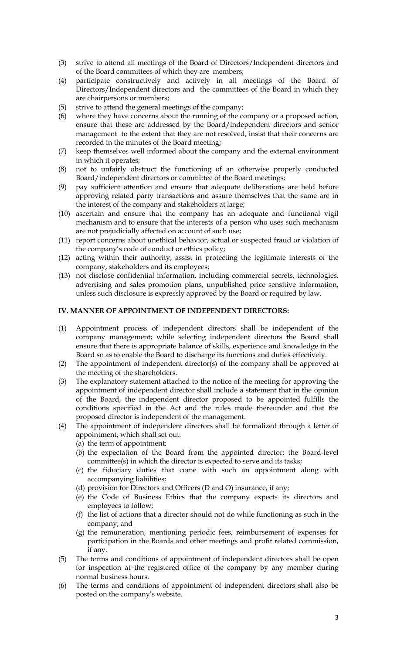- (3) strive to attend all meetings of the Board of Directors/Independent directors and of the Board committees of which they are members;
- (4) participate constructively and actively in all meetings of the Board of Directors/Independent directors and the committees of the Board in which they are chairpersons or members;
- (5) strive to attend the general meetings of the company;
- (6) where they have concerns about the running of the company or a proposed action, ensure that these are addressed by the Board/independent directors and senior management to the extent that they are not resolved, insist that their concerns are recorded in the minutes of the Board meeting;
- (7) keep themselves well informed about the company and the external environment in which it operates;
- (8) not to unfairly obstruct the functioning of an otherwise properly conducted Board/independent directors or committee of the Board meetings;
- (9) pay sufficient attention and ensure that adequate deliberations are held before approving related party transactions and assure themselves that the same are in the interest of the company and stakeholders at large;
- (10) ascertain and ensure that the company has an adequate and functional vigil mechanism and to ensure that the interests of a person who uses such mechanism are not prejudicially affected on account of such use;
- (11) report concerns about unethical behavior, actual or suspected fraud or violation of the company's code of conduct or ethics policy;
- (12) acting within their authority, assist in protecting the legitimate interests of the company, stakeholders and its employees;
- (13) not disclose confidential information, including commercial secrets, technologies, advertising and sales promotion plans, unpublished price sensitive information, unless such disclosure is expressly approved by the Board or required by law.

#### **IV. MANNER OF APPOINTMENT OF INDEPENDENT DIRECTORS:**

- (1) Appointment process of independent directors shall be independent of the company management; while selecting independent directors the Board shall ensure that there is appropriate balance of skills, experience and knowledge in the Board so as to enable the Board to discharge its functions and duties effectively.
- (2) The appointment of independent director(s) of the company shall be approved at the meeting of the shareholders.
- (3) The explanatory statement attached to the notice of the meeting for approving the appointment of independent director shall include a statement that in the opinion of the Board, the independent director proposed to be appointed fulfills the conditions specified in the Act and the rules made thereunder and that the proposed director is independent of the management.
- (4) The appointment of independent directors shall be formalized through a letter of appointment, which shall set out:
	- (a) the term of appointment;
	- (b) the expectation of the Board from the appointed director; the Board-level committee(s) in which the director is expected to serve and its tasks;
	- (c) the fiduciary duties that come with such an appointment along with accompanying liabilities;
	- (d) provision for Directors and Officers (D and O) insurance, if any;
	- (e) the Code of Business Ethics that the company expects its directors and employees to follow;
	- (f) the list of actions that a director should not do while functioning as such in the company; and
	- (g) the remuneration, mentioning periodic fees, reimbursement of expenses for participation in the Boards and other meetings and profit related commission, if any.
- (5) The terms and conditions of appointment of independent directors shall be open for inspection at the registered office of the company by any member during normal business hours.
- (6) The terms and conditions of appointment of independent directors shall also be posted on the company's website.